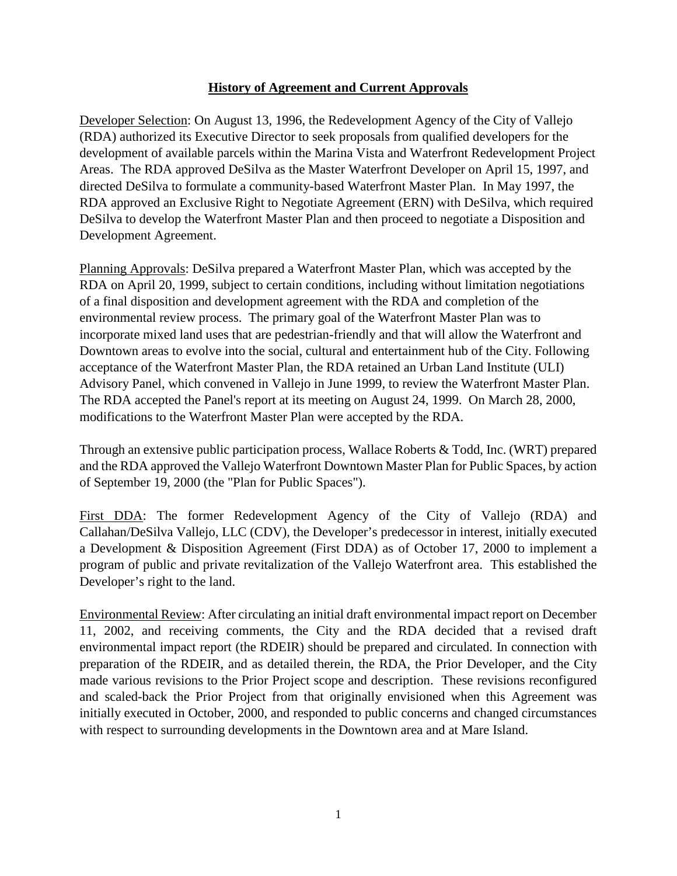## **History of Agreement and Current Approvals**

Developer Selection: On August 13, 1996, the Redevelopment Agency of the City of Vallejo (RDA) authorized its Executive Director to seek proposals from qualified developers for the development of available parcels within the Marina Vista and Waterfront Redevelopment Project Areas. The RDA approved DeSilva as the Master Waterfront Developer on April 15, 1997, and directed DeSilva to formulate a community-based Waterfront Master Plan. In May 1997, the RDA approved an Exclusive Right to Negotiate Agreement (ERN) with DeSilva, which required DeSilva to develop the Waterfront Master Plan and then proceed to negotiate a Disposition and Development Agreement.

Planning Approvals: DeSilva prepared a Waterfront Master Plan, which was accepted by the RDA on April 20, 1999, subject to certain conditions, including without limitation negotiations of a final disposition and development agreement with the RDA and completion of the environmental review process. The primary goal of the Waterfront Master Plan was to incorporate mixed land uses that are pedestrian-friendly and that will allow the Waterfront and Downtown areas to evolve into the social, cultural and entertainment hub of the City. Following acceptance of the Waterfront Master Plan, the RDA retained an Urban Land Institute (ULI) Advisory Panel, which convened in Vallejo in June 1999, to review the Waterfront Master Plan. The RDA accepted the Panel's report at its meeting on August 24, 1999. On March 28, 2000, modifications to the Waterfront Master Plan were accepted by the RDA.

Through an extensive public participation process, Wallace Roberts & Todd, Inc. (WRT) prepared and the RDA approved the Vallejo Waterfront Downtown Master Plan for Public Spaces, by action of September 19, 2000 (the "Plan for Public Spaces").

First DDA: The former Redevelopment Agency of the City of Vallejo (RDA) and Callahan/DeSilva Vallejo, LLC (CDV), the Developer's predecessor in interest, initially executed a Development & Disposition Agreement (First DDA) as of October 17, 2000 to implement a program of public and private revitalization of the Vallejo Waterfront area. This established the Developer's right to the land.

Environmental Review: After circulating an initial draft environmental impact report on December 11, 2002, and receiving comments, the City and the RDA decided that a revised draft environmental impact report (the RDEIR) should be prepared and circulated. In connection with preparation of the RDEIR, and as detailed therein, the RDA, the Prior Developer, and the City made various revisions to the Prior Project scope and description. These revisions reconfigured and scaled-back the Prior Project from that originally envisioned when this Agreement was initially executed in October, 2000, and responded to public concerns and changed circumstances with respect to surrounding developments in the Downtown area and at Mare Island.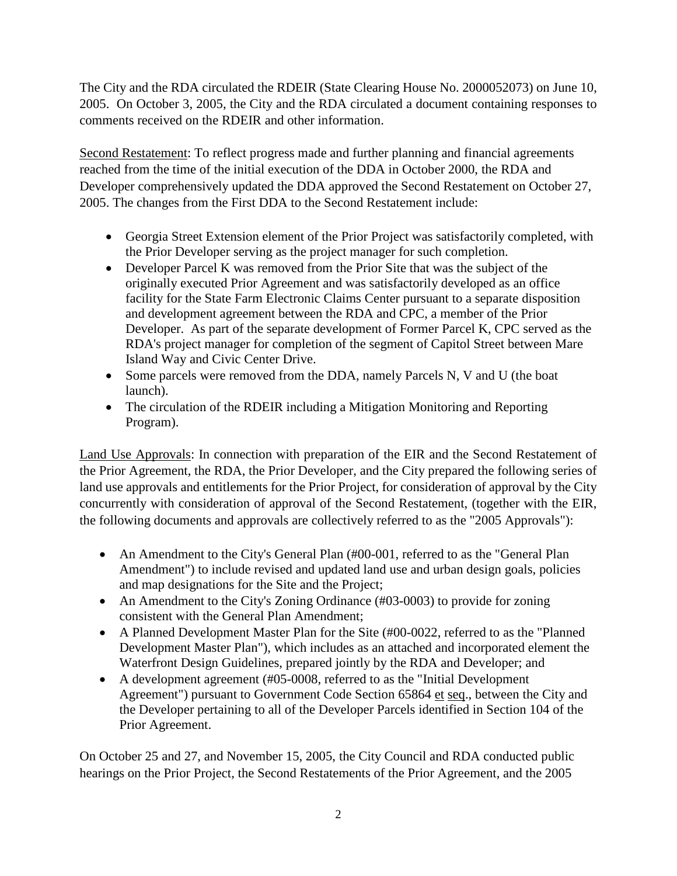The City and the RDA circulated the RDEIR (State Clearing House No. 2000052073) on June 10, 2005. On October 3, 2005, the City and the RDA circulated a document containing responses to comments received on the RDEIR and other information.

Second Restatement: To reflect progress made and further planning and financial agreements reached from the time of the initial execution of the DDA in October 2000, the RDA and Developer comprehensively updated the DDA approved the Second Restatement on October 27, 2005. The changes from the First DDA to the Second Restatement include:

- Georgia Street Extension element of the Prior Project was satisfactorily completed, with the Prior Developer serving as the project manager for such completion.
- Developer Parcel K was removed from the Prior Site that was the subject of the originally executed Prior Agreement and was satisfactorily developed as an office facility for the State Farm Electronic Claims Center pursuant to a separate disposition and development agreement between the RDA and CPC, a member of the Prior Developer. As part of the separate development of Former Parcel K, CPC served as the RDA's project manager for completion of the segment of Capitol Street between Mare Island Way and Civic Center Drive.
- Some parcels were removed from the DDA, namely Parcels N, V and U (the boat launch).
- The circulation of the RDEIR including a Mitigation Monitoring and Reporting Program).

Land Use Approvals: In connection with preparation of the EIR and the Second Restatement of the Prior Agreement, the RDA, the Prior Developer, and the City prepared the following series of land use approvals and entitlements for the Prior Project, for consideration of approval by the City concurrently with consideration of approval of the Second Restatement, (together with the EIR, the following documents and approvals are collectively referred to as the "2005 Approvals"):

- An Amendment to the City's General Plan (#00-001, referred to as the "General Plan Amendment") to include revised and updated land use and urban design goals, policies and map designations for the Site and the Project;
- An Amendment to the City's Zoning Ordinance (#03-0003) to provide for zoning consistent with the General Plan Amendment;
- A Planned Development Master Plan for the Site (#00-0022, referred to as the "Planned Development Master Plan"), which includes as an attached and incorporated element the Waterfront Design Guidelines, prepared jointly by the RDA and Developer; and
- A development agreement (#05-0008, referred to as the "Initial Development" Agreement") pursuant to Government Code Section 65864 et seq., between the City and the Developer pertaining to all of the Developer Parcels identified in Section 104 of the Prior Agreement.

On October 25 and 27, and November 15, 2005, the City Council and RDA conducted public hearings on the Prior Project, the Second Restatements of the Prior Agreement, and the 2005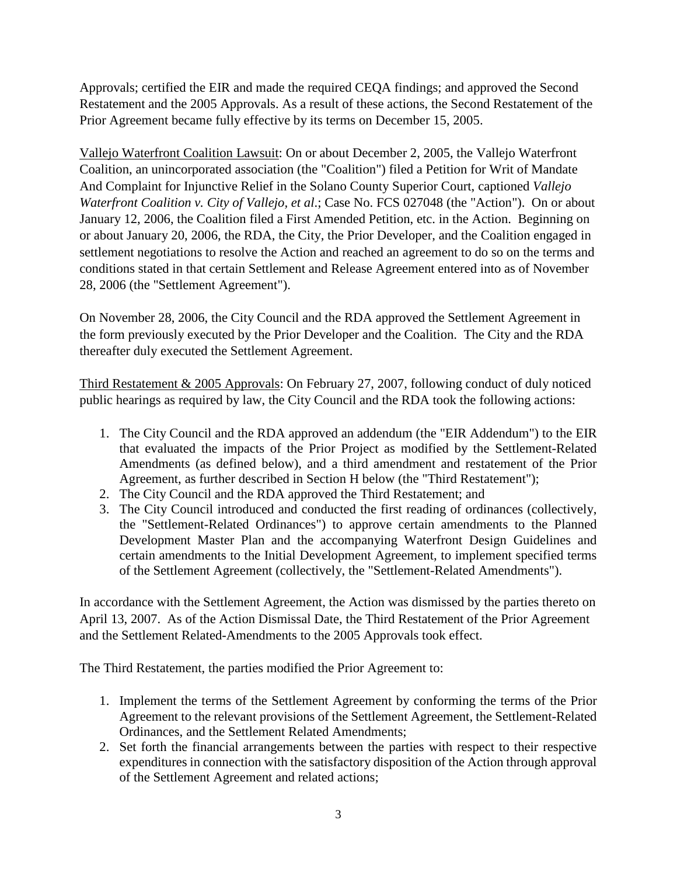Approvals; certified the EIR and made the required CEQA findings; and approved the Second Restatement and the 2005 Approvals. As a result of these actions, the Second Restatement of the Prior Agreement became fully effective by its terms on December 15, 2005.

Vallejo Waterfront Coalition Lawsuit: On or about December 2, 2005, the Vallejo Waterfront Coalition, an unincorporated association (the "Coalition") filed a Petition for Writ of Mandate And Complaint for Injunctive Relief in the Solano County Superior Court, captioned *Vallejo Waterfront Coalition v. City of Vallejo, et al*.; Case No. FCS 027048 (the "Action"). On or about January 12, 2006, the Coalition filed a First Amended Petition, etc. in the Action. Beginning on or about January 20, 2006, the RDA, the City, the Prior Developer, and the Coalition engaged in settlement negotiations to resolve the Action and reached an agreement to do so on the terms and conditions stated in that certain Settlement and Release Agreement entered into as of November 28, 2006 (the "Settlement Agreement").

On November 28, 2006, the City Council and the RDA approved the Settlement Agreement in the form previously executed by the Prior Developer and the Coalition. The City and the RDA thereafter duly executed the Settlement Agreement.

Third Restatement & 2005 Approvals: On February 27, 2007, following conduct of duly noticed public hearings as required by law, the City Council and the RDA took the following actions:

- 1. The City Council and the RDA approved an addendum (the "EIR Addendum") to the EIR that evaluated the impacts of the Prior Project as modified by the Settlement-Related Amendments (as defined below), and a third amendment and restatement of the Prior Agreement, as further described in Section H below (the "Third Restatement");
- 2. The City Council and the RDA approved the Third Restatement; and
- 3. The City Council introduced and conducted the first reading of ordinances (collectively, the "Settlement-Related Ordinances") to approve certain amendments to the Planned Development Master Plan and the accompanying Waterfront Design Guidelines and certain amendments to the Initial Development Agreement, to implement specified terms of the Settlement Agreement (collectively, the "Settlement-Related Amendments").

In accordance with the Settlement Agreement, the Action was dismissed by the parties thereto on April 13, 2007. As of the Action Dismissal Date, the Third Restatement of the Prior Agreement and the Settlement Related-Amendments to the 2005 Approvals took effect.

The Third Restatement, the parties modified the Prior Agreement to:

- 1. Implement the terms of the Settlement Agreement by conforming the terms of the Prior Agreement to the relevant provisions of the Settlement Agreement, the Settlement-Related Ordinances, and the Settlement Related Amendments;
- 2. Set forth the financial arrangements between the parties with respect to their respective expenditures in connection with the satisfactory disposition of the Action through approval of the Settlement Agreement and related actions;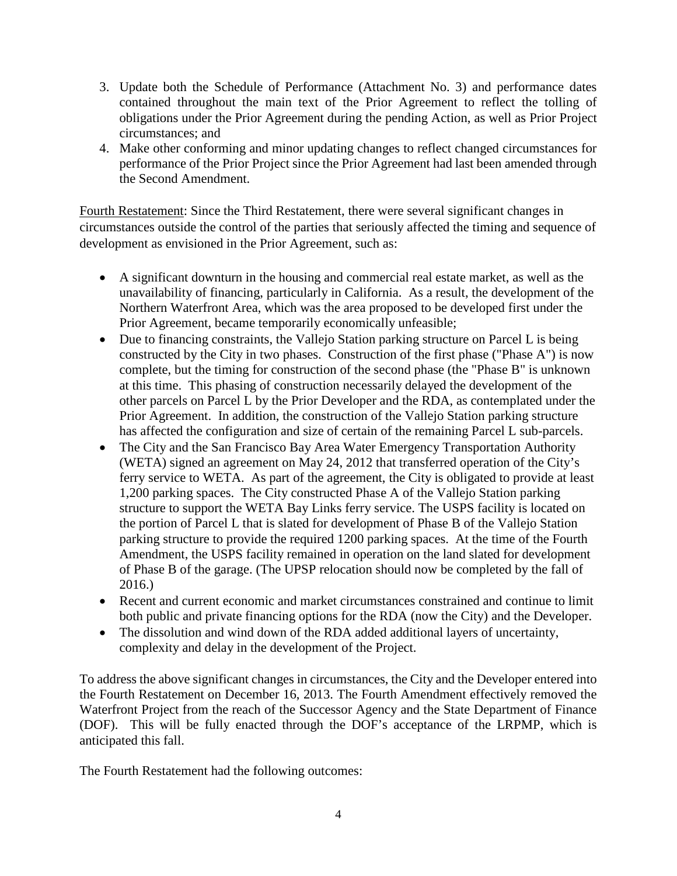- 3. Update both the Schedule of Performance (Attachment No. 3) and performance dates contained throughout the main text of the Prior Agreement to reflect the tolling of obligations under the Prior Agreement during the pending Action, as well as Prior Project circumstances; and
- 4. Make other conforming and minor updating changes to reflect changed circumstances for performance of the Prior Project since the Prior Agreement had last been amended through the Second Amendment.

Fourth Restatement: Since the Third Restatement, there were several significant changes in circumstances outside the control of the parties that seriously affected the timing and sequence of development as envisioned in the Prior Agreement, such as:

- A significant downturn in the housing and commercial real estate market, as well as the unavailability of financing, particularly in California. As a result, the development of the Northern Waterfront Area, which was the area proposed to be developed first under the Prior Agreement, became temporarily economically unfeasible;
- Due to financing constraints, the Vallejo Station parking structure on Parcel L is being constructed by the City in two phases. Construction of the first phase ("Phase A") is now complete, but the timing for construction of the second phase (the "Phase B" is unknown at this time. This phasing of construction necessarily delayed the development of the other parcels on Parcel L by the Prior Developer and the RDA, as contemplated under the Prior Agreement. In addition, the construction of the Vallejo Station parking structure has affected the configuration and size of certain of the remaining Parcel L sub-parcels.
- The City and the San Francisco Bay Area Water Emergency Transportation Authority (WETA) signed an agreement on May 24, 2012 that transferred operation of the City's ferry service to WETA. As part of the agreement, the City is obligated to provide at least 1,200 parking spaces. The City constructed Phase A of the Vallejo Station parking structure to support the WETA Bay Links ferry service. The USPS facility is located on the portion of Parcel L that is slated for development of Phase B of the Vallejo Station parking structure to provide the required 1200 parking spaces. At the time of the Fourth Amendment, the USPS facility remained in operation on the land slated for development of Phase B of the garage. (The UPSP relocation should now be completed by the fall of 2016.)
- Recent and current economic and market circumstances constrained and continue to limit both public and private financing options for the RDA (now the City) and the Developer.
- The dissolution and wind down of the RDA added additional layers of uncertainty, complexity and delay in the development of the Project.

To address the above significant changes in circumstances, the City and the Developer entered into the Fourth Restatement on December 16, 2013. The Fourth Amendment effectively removed the Waterfront Project from the reach of the Successor Agency and the State Department of Finance (DOF). This will be fully enacted through the DOF's acceptance of the LRPMP, which is anticipated this fall.

The Fourth Restatement had the following outcomes: